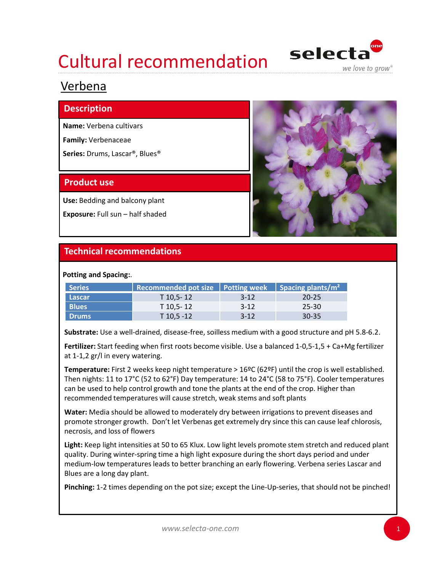## Cultural recommendation selecta



## Verbena

### Description

Name: Verbena cultivars

Family: Verbenaceae

Series: Drums, Lascar®, Blues®

Use: Bedding and balcony plant



| <b>Series</b> | Recommended pot size   Potting week |          | Spacing plants/m <sup>2</sup> |
|---------------|-------------------------------------|----------|-------------------------------|
| Lascar        | T 10,5-12                           | $3-12$   | 20-25                         |
| <b>Blues</b>  | T 10,5-12                           | $3 - 12$ | 25-30                         |
| <b>Drums</b>  | T 10,5 -12                          | $3 - 12$ | $30 - 35$                     |

Substrate: Use a well-drained, disease-free, soilless medium with a good structure and pH 5.8-6.2.

at 1-1,2 gr/l in every watering.

Temperature: First 2 weeks keep night temperature > 16ºC (62ºF) until the crop is well established. Then nights: 11 to 17°C (52 to 62°F) Day temperature: 14 to 24°C (58 to 75°F). Cooler temperatures can be used to help control growth and tone the plants at the end of the crop. Higher than recommended temperatures will cause stretch, weak stems and soft plants

Water: Media should be allowed to moderately dry between irrigations to prevent diseases and promote stronger growth. Don't let Verbenas get extremely dry since this can cause leaf chlorosis, necrosis, and loss of flowers

Light: Keep light intensities at 50 to 65 Klux. Low light levels promote stem stretch and reduced plant quality. During winter-spring time a high light exposure during the short days period and under medium-low temperatures leads to better branching an early flowering. Verbena series Lascar and Blues are a long day plant.

Pinching: 1-2 times depending on the pot size; except the Line-Up-series, that should not be pinched!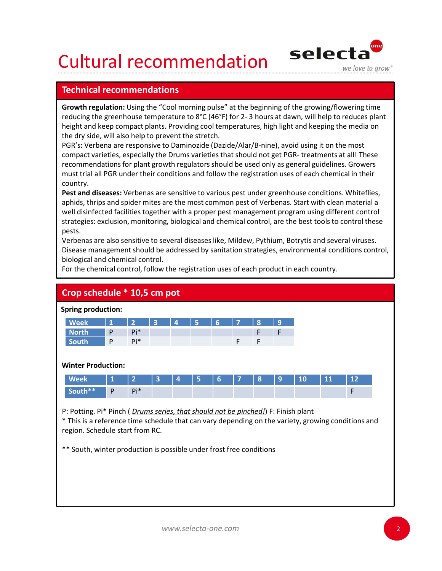## Cultural recommendation selecta



Cultural recommendations<br>
Technical recommendations<br>
Growth regulation: Using the "Cool morning pulse" at the beginning of the growing/flu<br>
Technical recommendations<br>
Technical regrenhouse temperature to 8°C (46°F) for 2-3 Growth regulation: Using the "Cool morning pulse" at the beginning of the growing/flowering time **Cultural recommendations**<br>**Fechnical recommendations**<br>**Technical recommendations**<br>**Example 10** for 2-3 hours at dawn, will help to reduces plant<br>reducing the greenhouse temperature to 8°C (46°F) for 2-3 hours at dawn, wil height and keep compact plants. Providing cool temperatures, high light and keeping the media on the dry side, will also help to prevent the stretch.

reducing the greenhouse temperature to 8°C (46°F) for 2-3 hours at dawn, will help to reduce<br>the dry side, will also help to prevent the stretch.<br>The dry side, will also help to prevent the stretch.<br>PGR's: Verbena are res PGR's: Verbena are responsive to Daminozide (Dazide/Alar/B-nine), avoid using it on the most **Cultural recommendations**<br> **Cultural recommendations**<br> **Compact variety of the COM morning pulse"** at the beginning of the growing/flowering time<br>
reducing the greenhouse temperature to 8°C (46°F) for 2-3 hours at dawn, w recommendations for plant growth regulators should be used only as general guidelines. Growers must trial all PGR under their conditions and follow the registration uses of each chemical in their country.

Pest and diseases: Verbenas are sensitive to various pest under greenhouse conditions. Whiteflies, **Example 18 and 18 and 18 and 18 and 18 and 18 and 18 and 18 and 18 and 19 and 19 and 19 and 19 and 19 and 19 and 19 and 19 and 19 and 19 and 19 and 19 and 19 and 19 and 19 and 19 and 19 and 19 and 19 and 19 and 19 and 19** well disinfected facilities together with a proper pest management program using different control strategies: exclusion, monitoring, biological and chemical control, are the best tools to control these pests. Sits:<br>
Site Sue the are responsive to Daminozide (Dazide/Alar/B-mine, avoid using it on the most<br>
mystratrial all PGR under their conditions and follow the registration of perfect treatments at all IT hese<br>
nommendations mpact varieties, especially the Drums varieties that should once pt PGR- treatments at all II These<br>commendations for plant growth regulators should be used only as general guidelines. Growers<br>ust trial all PGR under thei commendations for plant growth regulators should be used only as general guidelines. Growers<br>
sust mial IB PGS under their conditions and follow the registration uses of each chemical in their<br>
untry.<br>
stand diseases: Verb bilds, thrips and spider mites are the most common pest of Verbenas. Start with clean material a<br>lid disinfected facilities together with a proper pest management program using different control<br>attacks throses are also se

Verbenas are also sensitive to several diseases like, Mildew, Pythium, Botrytis and several viruses. Disease management should be addressed by sanitation strategies, environmental conditions control, biological and chemical control. ell disindeted facilities together with a proper pest management program using different control<br>ategies: exclusion, monitoring, biological and chemical control, are the best tools to control these<br>sts.<br>sts.<br>sts.<br>sease man

For the chemical control, follow the registration uses of each product in each country.

### Spring production:

| <b>Week</b>        |     | 1 2 3 4 5 6 7 8        |  |  |  | ۱q |
|--------------------|-----|------------------------|--|--|--|----|
| North <sup>'</sup> | ∣ P | $\Box$ Pi <sup>*</sup> |  |  |  |    |
| <b>South</b>       | - P | $Pi^*$                 |  |  |  |    |

### Winter Production:

| Week |  |  |  |  |  | 1   2   3   4   5   6   7   8   9   10   11   12 |  |
|------|--|--|--|--|--|--------------------------------------------------|--|
|      |  |  |  |  |  |                                                  |  |

P: Potting. Pi\* Pinch ( *Drums series, that should not be pinched!*) F: Finish plant

\* This is a reference time schedule that can vary depending on the variety, growing conditions and region. Schedule start from RC.

\*\* South, winter production is possible under frost free conditions